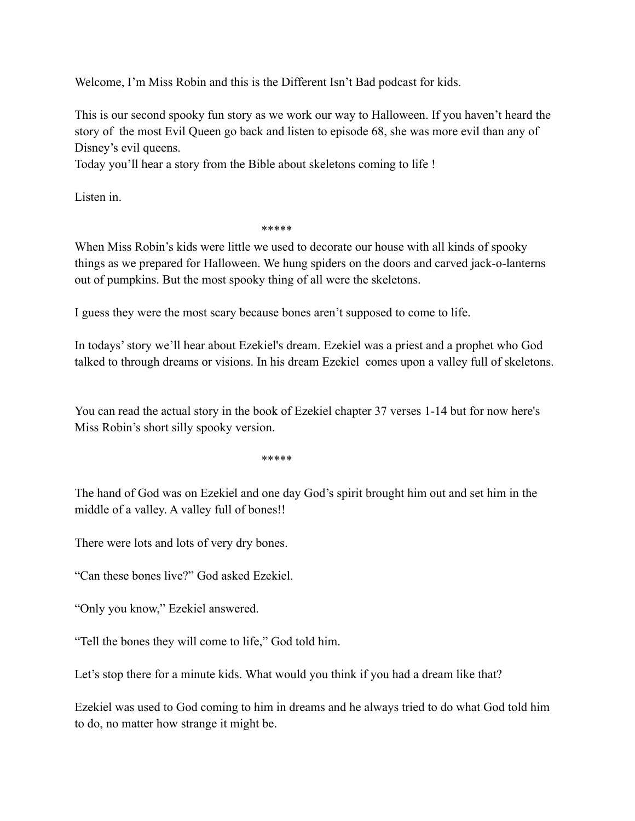Welcome, I'm Miss Robin and this is the Different Isn't Bad podcast for kids.

This is our second spooky fun story as we work our way to Halloween. If you haven't heard the story of the most Evil Queen go back and listen to episode 68, she was more evil than any of Disney's evil queens.

Today you'll hear a story from the Bible about skeletons coming to life !

Listen in.

\*\*\*\*\*

When Miss Robin's kids were little we used to decorate our house with all kinds of spooky things as we prepared for Halloween. We hung spiders on the doors and carved jack-o-lanterns out of pumpkins. But the most spooky thing of all were the skeletons.

I guess they were the most scary because bones aren't supposed to come to life.

In todays' story we'll hear about Ezekiel's dream. Ezekiel was a priest and a prophet who God talked to through dreams or visions. In his dream Ezekiel comes upon a valley full of skeletons.

You can read the actual story in the book of Ezekiel chapter 37 verses 1-14 but for now here's Miss Robin's short silly spooky version.

\*\*\*\*\*

The hand of God was on Ezekiel and one day God's spirit brought him out and set him in the middle of a valley. A valley full of bones!!

There were lots and lots of very dry bones.

"Can these bones live?" God asked Ezekiel.

"Only you know," Ezekiel answered.

"Tell the bones they will come to life," God told him.

Let's stop there for a minute kids. What would you think if you had a dream like that?

Ezekiel was used to God coming to him in dreams and he always tried to do what God told him to do, no matter how strange it might be.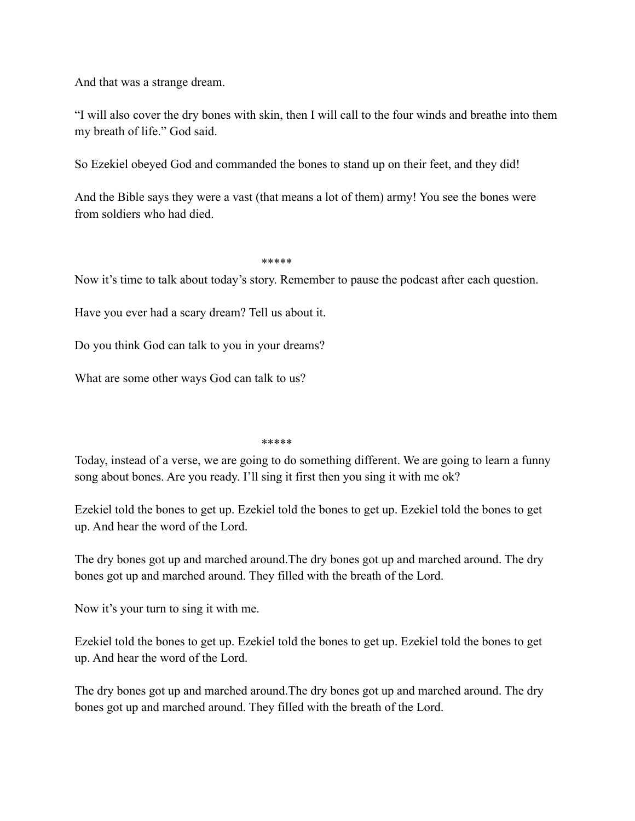And that was a strange dream.

"I will also cover the dry bones with skin, then I will call to the four winds and breathe into them my breath of life." God said.

So Ezekiel obeyed God and commanded the bones to stand up on their feet, and they did!

And the Bible says they were a vast (that means a lot of them) army! You see the bones were from soldiers who had died.

## \*\*\*\*\*

Now it's time to talk about today's story. Remember to pause the podcast after each question.

Have you ever had a scary dream? Tell us about it.

Do you think God can talk to you in your dreams?

What are some other ways God can talk to us?

## \*\*\*\*\*

Today, instead of a verse, we are going to do something different. We are going to learn a funny song about bones. Are you ready. I'll sing it first then you sing it with me ok?

Ezekiel told the bones to get up. Ezekiel told the bones to get up. Ezekiel told the bones to get up. And hear the word of the Lord.

The dry bones got up and marched around.The dry bones got up and marched around. The dry bones got up and marched around. They filled with the breath of the Lord.

Now it's your turn to sing it with me.

Ezekiel told the bones to get up. Ezekiel told the bones to get up. Ezekiel told the bones to get up. And hear the word of the Lord.

The dry bones got up and marched around.The dry bones got up and marched around. The dry bones got up and marched around. They filled with the breath of the Lord.